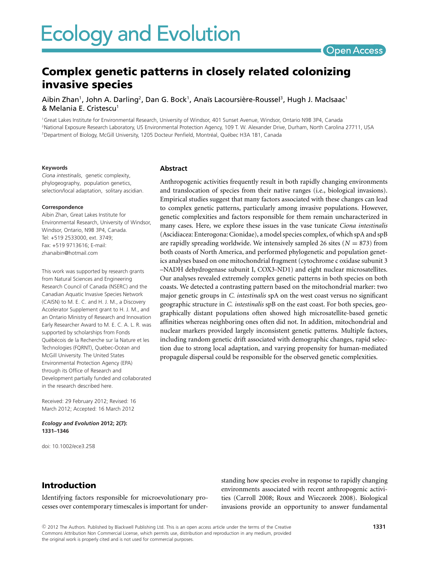# **Complex genetic patterns in closely related colonizing invasive species**

Aibin Zhan<sup>1</sup>, John A. Darling<sup>2</sup>, Dan G. Bock<sup>1</sup>, Anaïs Lacoursière-Roussel<sup>3</sup>, Hugh J. MacIsaac<sup>1</sup> & Melania E. Cristescu1

1Great Lakes Institute for Environmental Research, University of Windsor, 401 Sunset Avenue, Windsor, Ontario N9B 3P4, Canada <sup>2</sup>National Exposure Research Laboratory, US Environmental Protection Agency, 109 T. W. Alexander Drive, Durham, North Carolina 27711, USA <sup>3</sup>Department of Biology, McGill University, 1205 Docteur Penfield, Montréal, Québec H3A 1B1, Canada

#### **Keywords**

*Ciona intestinalis*, genetic complexity, phylogeography, population genetics, selection/local adaptation, solitary ascidian.

#### **Correspondence**

Aibin Zhan, Great Lakes Institute for Environmental Research, University of Windsor, Windsor, Ontario, N9B 3P4, Canada. Tel: +519 2533000, ext. 3749; Fax: +519 9713616; E-mail: zhanaibin@hotmail.com

This work was supported by research grants from Natural Sciences and Engineering Research Council of Canada (NSERC) and the Canadian Aquatic Invasive Species Network (CAISN) to M. E. C. and H. J. M., a Discovery Accelerator Supplement grant to H. J. M., and an Ontario Ministry of Research and Innovation Early Researcher Award to M. E. C. A. L. R. was supported by scholarships from Fonds Québécois de la Recherche sur la Nature et les Technologies (FQRNT), Québec-Océan and McGill University. The United States Environmental Protection Agency (EPA) through its Office of Research and Development partially funded and collaborated in the research described here.

Received: 29 February 2012; Revised: 16 March 2012; Accepted: 16 March 2012

*Ecology and Evolution* **2012; 2(7): 1331–1346**

doi: 10.1002/ece3.258

#### **Abstract**

Anthropogenic activities frequently result in both rapidly changing environments and translocation of species from their native ranges (i.e., biological invasions). Empirical studies suggest that many factors associated with these changes can lead to complex genetic patterns, particularly among invasive populations. However, genetic complexities and factors responsible for them remain uncharacterized in many cases. Here, we explore these issues in the vase tunicate *Ciona intestinalis* (Ascidiacea: Enterogona: Cionidae), a model species complex, of which spA and spB are rapidly spreading worldwide. We intensively sampled 26 sites  $(N = 873)$  from both coasts of North America, and performed phylogenetic and population genetics analyses based on one mitochondrial fragment (cytochrome c oxidase subunit 3 –NADH dehydrogenase subunit I, COX3-ND1) and eight nuclear microsatellites. Our analyses revealed extremely complex genetic patterns in both species on both coasts. We detected a contrasting pattern based on the mitochondrial marker: two major genetic groups in *C. intestinalis* spA on the west coast versus no significant geographic structure in *C. intestinalis* spB on the east coast. For both species, geographically distant populations often showed high microsatellite-based genetic affinities whereas neighboring ones often did not. In addition, mitochondrial and nuclear markers provided largely inconsistent genetic patterns. Multiple factors, including random genetic drift associated with demographic changes, rapid selection due to strong local adaptation, and varying propensity for human-mediated propagule dispersal could be responsible for the observed genetic complexities.

## **Introduction**

Identifying factors responsible for microevolutionary processes over contemporary timescales is important for understanding how species evolve in response to rapidly changing environments associated with recent anthropogenic activities (Carroll 2008; Roux and Wieczorek 2008). Biological invasions provide an opportunity to answer fundamental

 $©$  2012 The Authors. Published by Blackwell Publishing Ltd. This is an open access article under the terms of the Creative Commons Attribution Non Commercial License, which permits use, distribution and reproduction in any medium, provided the original work is properly cited and is not used for commercial purposes.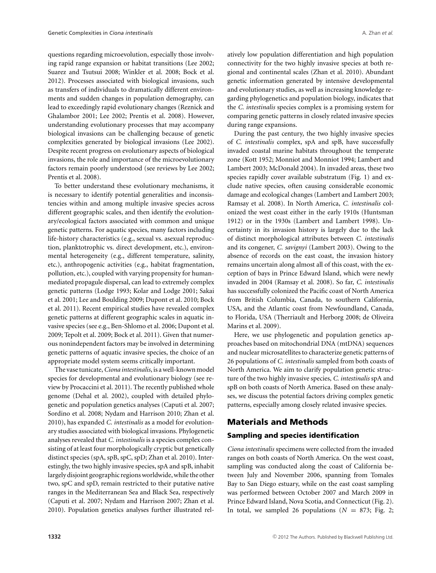questions regarding microevolution, especially those involving rapid range expansion or habitat transitions (Lee 2002; Suarez and Tsutsui 2008; Winkler et al. 2008; Bock et al. 2012). Processes associated with biological invasions, such as transfers of individuals to dramatically different environments and sudden changes in population demography, can lead to exceedingly rapid evolutionary changes (Reznick and Ghalambor 2001; Lee 2002; Prentis et al. 2008). However, understanding evolutionary processes that may accompany biological invasions can be challenging because of genetic complexities generated by biological invasions (Lee 2002). Despite recent progress on evolutionary aspects of biological invasions, the role and importance of the microevolutionary factors remain poorly understood (see reviews by Lee 2002; Prentis et al. 2008).

To better understand these evolutionary mechanisms, it is necessary to identify potential generalities and inconsistencies within and among multiple invasive species across different geographic scales, and then identify the evolutionary/ecological factors associated with common and unique genetic patterns. For aquatic species, many factors including life-history characteristics (e.g., sexual vs. asexual reproduction, planktotrophic vs. direct development, etc.), environmental heterogeneity (e.g., different temperature, salinity, etc.), anthropogenic activities (e.g., habitat fragmentation, pollution, etc.), coupled with varying propensity for humanmediated propagule dispersal, can lead to extremely complex genetic patterns (Lodge 1993; Kolar and Lodge 2001; Sakai et al. 2001; Lee and Boulding 2009; Dupont et al. 2010; Bock et al. 2011). Recent empirical studies have revealed complex genetic patterns at different geographic scales in aquatic invasive species (see e.g., Ben-Shlomo et al. 2006; Dupont et al. 2009; Tepolt et al. 2009; Bock et al. 2011). Given that numerous nonindependent factors may be involved in determining genetic patterns of aquatic invasive species, the choice of an appropriate model system seems critically important.

The vase tunicate,*Ciona intestinalis*, is a well-known model species for developmental and evolutionary biology (see review by Procaccini et al. 2011). The recently published whole genome (Dehal et al. 2002), coupled with detailed phylogenetic and population genetics analyses (Caputi et al. 2007; Sordino et al. 2008; Nydam and Harrison 2010; Zhan et al. 2010), has expanded *C. intestinalis* as a model for evolutionary studies associated with biological invasions. Phylogenetic analyses revealed that *C. intestinalis* is a species complex consisting of at least four morphologically cryptic but genetically distinct species (spA, spB, spC, spD; Zhan et al. 2010). Interestingly, the two highly invasive species, spA and spB, inhabit largely disjoint geographic regions worldwide, while the other two, spC and spD, remain restricted to their putative native ranges in the Mediterranean Sea and Black Sea, respectively (Caputi et al. 2007; Nydam and Harrison 2007; Zhan et al. 2010). Population genetics analyses further illustrated relatively low population differentiation and high population connectivity for the two highly invasive species at both regional and continental scales (Zhan et al. 2010). Abundant genetic information generated by intensive developmental and evolutionary studies, as well as increasing knowledge regarding phylogenetics and population biology, indicates that the *C. intestinalis* species complex is a promising system for comparing genetic patterns in closely related invasive species during range expansions.

During the past century, the two highly invasive species of *C. intestinalis* complex, spA and spB, have successfully invaded coastal marine habitats throughout the temperate zone (Kott 1952; Monniot and Monniot 1994; Lambert and Lambert 2003; McDonald 2004). In invaded areas, these two species rapidly cover available substratum (Fig. 1) and exclude native species, often causing considerable economic damage and ecological changes (Lambert and Lambert 2003; Ramsay et al. 2008). In North America, *C. intestinalis* colonized the west coast either in the early 1910s (Huntsman 1912) or in the 1930s (Lambert and Lambert 1998). Uncertainty in its invasion history is largely due to the lack of distinct morphological attributes between *C. intestinalis* and its congener, *C. savignyi* (Lambert 2003). Owing to the absence of records on the east coast, the invasion history remains uncertain along almost all of this coast, with the exception of bays in Prince Edward Island, which were newly invaded in 2004 (Ramsay et al. 2008). So far, *C. intestinalis* has successfully colonized the Pacific coast of North America from British Columbia, Canada, to southern California, USA, and the Atlantic coast from Newfoundland, Canada, to Florida, USA (Therriault and Herborg 2008; de Oliveira Marins et al. 2009).

Here, we use phylogenetic and population genetics approaches based on mitochondrial DNA (mtDNA) sequences and nuclear microsatellites to characterize genetic patterns of 26 populations of *C. intestinalis* sampled from both coasts of North America. We aim to clarify population genetic structure of the two highly invasive species, *C. intestinalis* spA and spB on both coasts of North America. Based on these analyses, we discuss the potential factors driving complex genetic patterns, especially among closely related invasive species.

# **Materials and Methods**

## **Sampling and species identification**

*Ciona intestinalis* specimens were collected from the invaded ranges on both coasts of North America. On the west coast, sampling was conducted along the coast of California between July and November 2006, spanning from Tomales Bay to San Diego estuary, while on the east coast sampling was performed between October 2007 and March 2009 in Prince Edward Island, Nova Scotia, and Connecticut (Fig. 2). In total, we sampled 26 populations  $(N = 873;$  Fig. 2;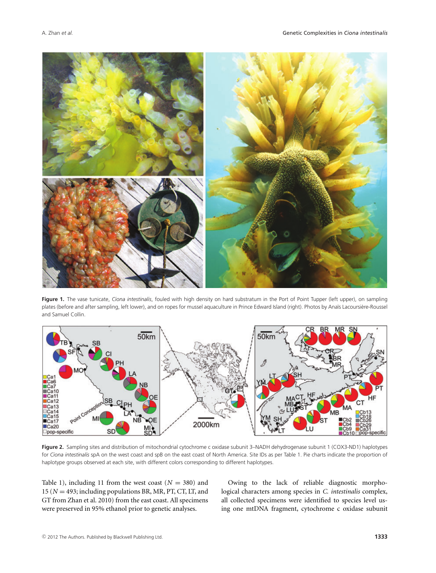

**Figure 1.** The vase tunicate, *Ciona intestinalis*, fouled with high density on hard substratum in the Port of Point Tupper (left upper), on sampling plates (before and after sampling, left lower), and on ropes for mussel aquaculture in Prince Edward Island (right). Photos by Anaïs Lacoursière-Roussel and Samuel Collin.



**Figure 2.** Sampling sites and distribution of mitochondrial cytochrome c oxidase subunit 3–NADH dehydrogenase subunit 1 (COX3-ND1) haplotypes for *Ciona intestinalis* spA on the west coast and spB on the east coast of North America. Site IDs as per Table 1. Pie charts indicate the proportion of haplotype groups observed at each site, with different colors corresponding to different haplotypes.

Table 1), including 11 from the west coast  $(N = 380)$  and 15 (*N* = 493; including populations BR, MR, PT, CT, LT, and GT from Zhan et al. 2010) from the east coast. All specimens were preserved in 95% ethanol prior to genetic analyses.

Owing to the lack of reliable diagnostic morphological characters among species in *C. intestinalis* complex, all collected specimens were identified to species level using one mtDNA fragment, cytochrome c oxidase subunit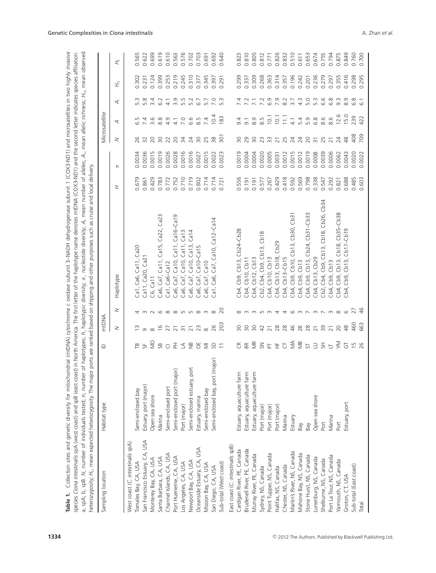| Sampling location                | Habitat type                    | $\supseteq$              | mtDNA           |                                               |                                             |       |        |                  | Microsatellite               |                                  |             |       |
|----------------------------------|---------------------------------|--------------------------|-----------------|-----------------------------------------------|---------------------------------------------|-------|--------|------------------|------------------------------|----------------------------------|-------------|-------|
|                                  |                                 |                          | $\geq$          | 2                                             | Haplotype                                   | エ     | ĸ      | ≳                | ⋖                            | ₹                                | $H_{\circ}$ | エ     |
| West coast (C. intestinalis spA) |                                 |                          |                 |                                               |                                             |       |        |                  |                              |                                  |             |       |
| Tomales Bay, CA, USA             | Semi-enclosed bay               | $\mathbb{E}$             |                 | 4                                             | Ca1, Ca6, Ca11, Ca20                        | 0.679 | 0.0034 | 26               | Б                            | $\sim$                           | 302         | 0.565 |
| San Francisco Estuary, CA, USA   | Estuary, port (major)           |                          |                 |                                               | Ca11, Ca20, Ca21                            | 0.861 | 0.0036 | 32               | 4                            | $\infty$                         | 0.23        | 0.622 |
| Monterey Bay, CA, USA            | Open sea shore                  | š                        | $\infty$        |                                               | C6, Ca11                                    | 0.429 | 0.0015 | 20               | $\circ$                      | 4<br>$\infty$                    | 0.124       | 0.699 |
| Santa Barbara, CA, USA           | Marina                          | SB                       |                 |                                               | Ca7, Ca11, Ca15, Ca22, Ca23<br>Ca6,         | 0.783 | 0.0019 | $\approx$        | $\infty$<br>$\infty$         | $\sim$<br>O                      | 0.399       | 0.619 |
| Channel Islands, CA, USA         | Semi-enclosed port              | $\overline{\cup}$        |                 |                                               | Ca1, Ca6-Ca12                               | 0.772 | 0.0026 | 22               | $\sigma$<br>4                | ↽<br>4                           | 0.253       | 0.610 |
| Port Hueneme, CA, USA            | ajor)<br>Semi-enclosed port (m  | 푼                        |                 | $m \wedge Q \otimes Q$ $m \wedge Q \otimes Q$ | Ca7, Ca10, Ca11, Ca16-Ca19<br>Ca6,          | 0.752 | 0.0028 | 20               | $\overline{4}$               | $\sim$                           | 0.219       | 0.563 |
| Los Angeles, CA, USA             | Port (major)                    | $\preceq$                |                 |                                               | Ca7, Ca10, Ca11, Ca13<br>ි වේ.              | 0.710 | 0.0016 | $\overline{3}4$  | 7.0                          | $O$ 5 $N$ $N$<br>S               | 0.245       | 0.576 |
| Newport Bay, CA, USA             | port<br>Semi-enclosed estuary,  | $\frac{10}{2}$           | $\overline{2}$  |                                               | Ca14<br>Ca7, Ca10, Ca13,<br>ි දෙ            | 0.719 | 0.0016 | 24               | $\circ$<br>$\circ$           | S                                | 0.310       | 0.702 |
| Oceanside Estuary, CA, USA       | Estuary, marina                 | ŏ                        | 23              |                                               | Ca7, Ca10-Ca15<br>Ca6,                      | 0.802 | 0.0027 | $\approx$        | S<br>$\infty$                | $\circ$                          | 0.377       | 0.703 |
| Mission Bay, CA, USA             | Semi-enclosed bay               | Ξ                        |                 |                                               | Ca7, Ca10<br>Ca6,                           | 0.714 | 0.0015 | 25               | 7.4                          | $\overline{ }$<br>S              | 0.345       | 0.691 |
| San Diego, CA, USA               | semi-enclosed bay, port (major) | SD                       | 26              |                                               | Ca6, Ca7, Ca10, Ca12-Ca14<br>Ca1,           | 0.714 | 0.0022 | $\frac{8}{3}$    | 10.4                         | $\circ$                          | 0.397       | 0.692 |
| Sub-total (West coast)           |                                 |                          | 203             | 20                                            |                                             | 0.721 | 0.0023 | $\overline{50}$  | 183                          | $\infty$<br>LO                   | 0.291       | 0.640 |
| East coast (C. intestinalis spB) |                                 |                          |                 |                                               |                                             |       |        |                  |                              |                                  |             |       |
| Cardigan River, PE, Canada       | Estuary, aquaculture farm       | $\widetilde{\mathbb{C}}$ | $\frac{1}{2}$   | $\infty$                                      | Cb9, Cb13, Cb24-Cb28<br>Cb4,                | 0.556 | 0.0019 | ΟS               | 9.4                          | 7.4                              | 0.299       | 0.823 |
| Brudenell River, PE, Canada      | Estuary, aquaculture farm       | ΒŘ                       | $\overline{50}$ |                                               | Cb10, Cb11<br>Cb4,                          | 0.191 | 0.0004 | 29               | 9.1                          |                                  | 0.337       | 0.810 |
| Murray River, PE, Canada         | Estuary, aquaculture farm       | WK                       | 50              | mm um                                         | Ch12, Ch13<br>Cb4,                          | 0.191 | 0.0004 | $\approx$        | Q)<br>∞                      |                                  | 0.309       | 0.805 |
| Sydney, NS, Canada               | Port (major)                    | 5N                       |                 |                                               | Cb4, Cb9, Cb13, Cb18<br>Cb2,                | 0.577 | 0.0020 | 23               | $\frac{5}{8}$                |                                  | 0.268       | 0.812 |
| Point Tupper, NS, Canada         | Port (major)                    | $\overline{P}$           |                 |                                               | Cb10, Cb13<br>Cb4,                          | 0.267 | 0.0005 | $\frac{3}{3}$    | $\frac{1}{2}$                | $\sigma$<br>َق                   | 0.363       | 0.771 |
| Halifax, NS, Canada              | Port (major)                    | 生                        | 28              | $\overline{4}$                                | Cb13, Cb18, Cb29<br>Cb4,                    | 0.429 | 0.0031 | $\overline{2}$ 1 | $\frac{1}{2}$                | $\circ$                          | 0.314       | 0.826 |
| Chester, NS, Canada              | Marina                          | $\overline{C}$           | 28              | 4                                             | $Cb13-Cb15$<br>Cb4,                         | 0.418 | 0.0012 | 25               | 11.1                         | $\sim$<br>$\infty$               | 0.357       | 0.832 |
| Martin's River, NS, Canada       | Estuary                         | ₹                        | 46              | $\circ$                                       | Cb9, Cb10, Cb13, Cb30, Cb3<br>Cb4,          | 0.592 | 0.0015 | 24               | $\overline{4.1}$             | $\overline{ }$<br>$\overline{m}$ | 0.196       | 0.510 |
| Mahone Bay, NS, Canada           | Bay                             | $\tilde{\Xi}$            | 28              | $m$ $\sim$                                    | Cb9, Cb13<br>Cb4,                           | 0.569 | 0.0012 | 24               | 5.4                          | $\omega$<br>4                    | 0.242       | 0.611 |
| Stone Hurst, NS, Canada          | Bay                             | $5\overline{5}$          | 28              |                                               | Cb9, Cb13, Cb24, Cb31-Cb33<br>Cb4,          | 0.798 | 0.0019 | 20               | $\sigma$<br>S                | $\circ$<br>ம                     | 0.201       | 0.653 |
| Lunenburg, NS, Canada            | Open sea shore                  | $\supseteq$              |                 |                                               | Cb13, Cb29<br>Cb4,                          | 0.338 | 0.0008 | $\overline{3}$   | $\infty$ $\infty$<br>$\circ$ | m O<br>S                         | 0.236       | 0.674 |
| Shelburne, NS, Canada            | Port                            | 공                        | 39              | $m \, \wedge \, m \, \infty$                  | Cb9, Cb13, Cb18, Cb26, Cb34<br>Cb4,<br>cb2, | 0.547 | 0.0039 | 25               | $\infty$                     | $\circ$                          | 0.279       | 0.755 |
| Port La Tour, NS, Canada         | Marina                          | $\Box$                   |                 |                                               | Cb13<br>Cb9,<br>Cb4,                        | 0.292 | 0.0006 |                  | 8.6                          | $\infty$<br>$\circ$              | 0.297       | 0.794 |
| Yarmouth, NS, Canada             | Port                            | $\widetilde{\leq}$       | 20              |                                               | Cb18, Cb35-Cb38<br>Cb9, Cb13,<br>Cb4,       | 0.821 | 0.0062 | 24               | 12.5                         | m<br>$\sigma$                    | 0.355       | 0.875 |
| Groton, CT, USA                  | Estuary, port                   | 5                        | 48              | $\circ$                                       | Cb13, Cb17-Cb19<br>Cb9,<br>Cb4,             | 0.688 | 0.0043 | 48               | 15.0                         | $\sigma$<br>$\infty$             | 0.416       | 0.849 |
| Sub-total (East coast)           |                                 |                          | 460             | 27                                            |                                             | 0.485 | 0.0020 | 408              | 239                          | $\infty$<br>$\circ$              | 0.298       | 0.760 |
| Total                            |                                 |                          | 663             |                                               |                                             | 0.603 | 0.0022 | 709              | 422                          | ⊙                                | 0.29        | 0.700 |

Table 1. Collection sites and genetic diversity for mitochondrial (mtDNA) cytochrome c oxidase subunit 3–NADH dehydrogenase subunit 1 (COX3-ND1) and microsatellites in two highly invasive<br>species *Ciona intestinalis* spA ( **Table 1.** Collection sites and genetic diversity for mitochondrial (mtDNA) cytochrome c oxidase subunit 3-NADH dehydrogenase subunit 1 (COX3-ND1) and microsatellites in two highly invasive<br>Species *Ciona intestinalis* sp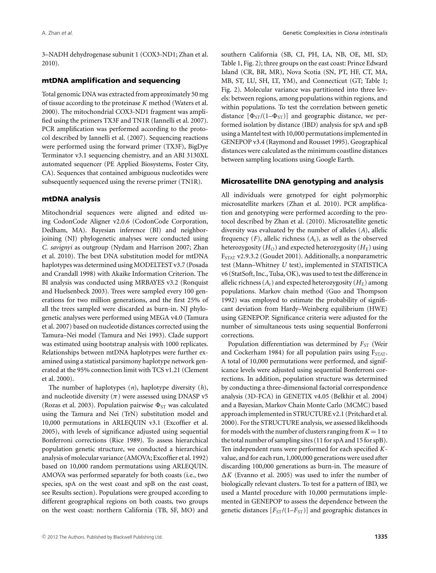3–NADH dehydrogenase subunit 1 (COX3-ND1; Zhan et al. 2010).

#### **mtDNA amplification and sequencing**

Total genomic DNA was extracted from approximately 50 mg of tissue according to the proteinase *K* method (Waters et al. 2000). The mitochondrial COX3-ND1 fragment was amplified using the primers TX3F and TN1R (Iannelli et al. 2007). PCR amplification was performed according to the protocol described by Iannelli et al. (2007). Sequencing reactions were performed using the forward primer (TX3F), BigDye Terminator v3.1 sequencing chemistry, and an ABI 3130XL automated sequencer (PE Applied Biosystems, Foster City, CA). Sequences that contained ambiguous nucleotides were subsequently sequenced using the reverse primer (TN1R).

#### **mtDNA analysis**

Mitochondrial sequences were aligned and edited using CodonCode Aligner v2.0.6 (CodonCode Corporation, Dedham, MA). Bayesian inference (BI) and neighborjoining (NJ) phylogenetic analyses were conducted using *C. savignyi* as outgroup (Nydam and Harrison 2007; Zhan et al. 2010). The best DNA substitution model for mtDNA haplotypes was determined using MODELTEST v3.7 (Posada and Crandall 1998) with Akaike Information Criterion. The BI analysis was conducted using MRBAYES v3.2 (Ronquist and Huelsenbeck 2003). Trees were sampled every 100 generations for two million generations, and the first 25% of all the trees sampled were discarded as burn-in. NJ phylogenetic analyses were performed using MEGA v4.0 (Tamura et al. 2007) based on nucleotide distances corrected using the Tamura–Nei model (Tamura and Nei 1993). Clade support was estimated using bootstrap analysis with 1000 replicates. Relationships between mtDNA haplotypes were further examined using a statistical parsimony haplotype network generated at the 95% connection limit with TCS v1.21 (Clement et al. 2000).

The number of haplotypes (*n*), haplotype diversity (*h*), and nucleotide diversity  $(\pi)$  were assessed using DNASP v5 (Rozas et al. 2003). Population pairwise  $\Phi_{ST}$  was calculated using the Tamura and Nei (TrN) substitution model and 10,000 permutations in ARLEQUIN v3.1 (Excoffier et al. 2005), with levels of significance adjusted using sequential Bonferroni corrections (Rice 1989). To assess hierarchical population genetic structure, we conducted a hierarchical analysis of molecular variance (AMOVA; Excoffier et al. 1992) based on 10,000 random permutations using ARLEQUIN. AMOVA was performed separately for both coasts (i.e., two species, spA on the west coast and spB on the east coast, see Results section). Populations were grouped according to different geographical regions on both coasts, two groups on the west coast: northern California (TB, SF, MO) and

C 2012 The Authors. Published by Blackwell Publishing Ltd. **1335 1335** 

southern California (SB, CI, PH, LA, NB, OE, MI, SD; Table 1, Fig. 2); three groups on the east coast: Prince Edward Island (CR, BR, MR), Nova Scotia (SN, PT, HF, CT, MA, MB, ST, LU, SH, LT, YM), and Connecticut (GT; Table 1; Fig. 2). Molecular variance was partitioned into three levels: between regions, among populations within regions, and within populations. To test the correlation between genetic distance  $[\Phi_{ST}/(1-\Phi_{ST})]$  and geographic distance, we performed isolation by distance (IBD) analysis for spA and spB using a Mantel test with 10,000 permutations implemented in GENEPOP v3.4 (Raymond and Rousset 1995). Geographical distances were calculated as the minimum coastline distances between sampling locations using Google Earth.

#### **Microsatellite DNA genotyping and analysis**

All individuals were genotyped for eight polymorphic microsatellite markers (Zhan et al. 2010). PCR amplification and genotyping were performed according to the protocol described by Zhan et al. (2010). Microsatellite genetic diversity was evaluated by the number of alleles (*A*), allelic frequency  $(F)$ , allelic richness  $(A_r)$ , as well as the observed heterozygosity  $(H<sub>O</sub>)$  and expected heterozygosity  $(H<sub>E</sub>)$  using FSTAT v2.9.3.2 (Goudet 2001). Additionally, a nonparametric test (Mann–Whitney *U* test), implemented in STATISTICA v6 (StatSoft, Inc., Tulsa, OK), was used to test the difference in allelic richness  $(A_r)$  and expected heterozygosity  $(H_E)$  among populations. Markov chain method (Guo and Thompson 1992) was employed to estimate the probability of significant deviation from Hardy–Weinberg equilibrium (HWE) using GENEPOP. Significance criteria were adjusted for the number of simultaneous tests using sequential Bonferroni corrections.

Population differentiation was determined by *F*<sub>ST</sub> (Weir and Cockerham 1984) for all population pairs using  $F_{STAT}$ . A total of 10,000 permutations were performed, and significance levels were adjusted using sequential Bonferroni corrections. In addition, population structure was determined by conducting a three-dimensional factorial correspondence analysis (3D-FCA) in GENETIX v4.05 (Belkhir et al. 2004) and a Bayesian, Markov Chain Monte Carlo (MCMC) based approach implemented in STRUCTURE v2.1 (Pritchard et al. 2000). For the STRUCTURE analysis, we assessed likelihoods for models with the number of clusters ranging from  $K = 1$  to the total number of sampling sites (11 for spA and 15 for spB). Ten independent runs were performed for each specified *K*value, and for each run, 1,000,000 generations were used after discarding 100,000 generations as burn-in. The measure of  $\Delta K$  (Evanno et al. 2005) was used to infer the number of biologically relevant clusters. To test for a pattern of IBD, we used a Mantel procedure with 10,000 permutations implemented in GENEPOP to assess the dependence between the genetic distances  $[F_{ST}/(1-F_{ST})]$  and geographic distances in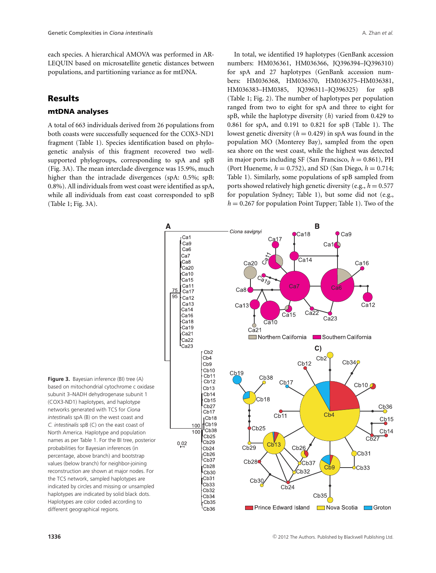each species. A hierarchical AMOVA was performed in AR-LEQUIN based on microsatellite genetic distances between populations, and partitioning variance as for mtDNA.

## **Results**

### **mtDNA analyses**

A total of 663 individuals derived from 26 populations from both coasts were successfully sequenced for the COX3-ND1 fragment (Table 1). Species identification based on phylogenetic analysis of this fragment recovered two wellsupported phylogroups, corresponding to spA and spB (Fig. 3A). The mean interclade divergence was 15.9%, much higher than the intraclade divergences (spA: 0.5%; spB: 0.8%). All individuals from west coast were identified as spA, while all individuals from east coast corresponded to spB (Table 1; Fig. 3A).

In total, we identified 19 haplotypes (GenBank accession numbers: HM036361, HM036366, JQ396394–JQ396310) for spA and 27 haplotypes (GenBank accession numbers: HM036368, HM036370, HM036375–HM036381, HM036383–HM0385, JQ396311–JQ396325) for spB (Table 1; Fig. 2). The number of haplotypes per population ranged from two to eight for spA and three to eight for spB, while the haplotype diversity (*h*) varied from 0.429 to 0.861 for spA, and 0.191 to 0.821 for spB (Table 1). The lowest genetic diversity  $(h = 0.429)$  in spA was found in the population MO (Monterey Bay), sampled from the open sea shore on the west coast, while the highest was detected in major ports including SF (San Francisco,  $h = 0.861$ ), PH (Port Hueneme,  $h = 0.752$ ), and SD (San Diego,  $h = 0.714$ ; Table 1). Similarly, some populations of spB sampled from ports showed relatively high genetic diversity (e.g.,  $h = 0.577$ for population Sydney; Table 1), but some did not (e.g.,  $h = 0.267$  for population Point Tupper; Table 1). Two of the



**Figure 3.** Bayesian inference (BI) tree (A) based on mitochondrial cytochrome c oxidase subunit 3–NADH dehydrogenase subunit 1 (COX3-ND1) haplotypes, and haplotype networks generated with TCS for *Ciona intestinalis* spA (B) on the west coast and *C. intestinalis* spB (C) on the east coast of North America. Haplotype and population names as per Table 1. For the BI tree, posterior probabilities for Bayesian inferences (in percentage, above branch) and bootstrap values (below branch) for neighbor-joining reconstruction are shown at major nodes. For the TCS network, sampled haplotypes are indicated by circles and missing or unsampled haplotypes are indicated by solid black dots. Haplotypes are color coded according to different geographical regions.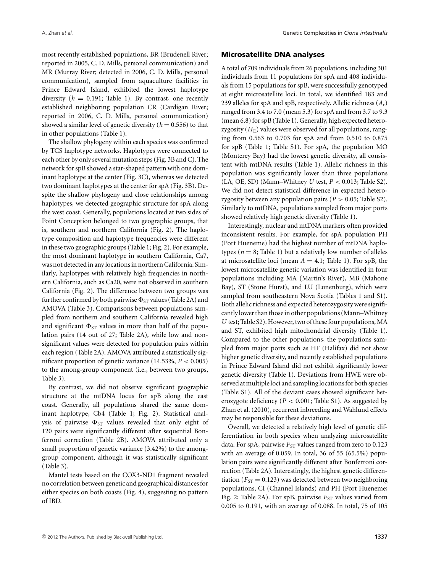most recently established populations, BR (Brudenell River; reported in 2005, C. D. Mills, personal communication) and MR (Murray River; detected in 2006, C. D. Mills, personal communication), sampled from aquaculture facilities in Prince Edward Island, exhibited the lowest haplotype diversity  $(h = 0.191;$  Table 1). By contrast, one recently established neighboring population CR (Cardigan River; reported in 2006, C. D. Mills, personal communication) showed a similar level of genetic diversity ( $h = 0.556$ ) to that in other populations (Table 1).

The shallow phylogeny within each species was confirmed by TCS haplotype networks. Haplotypes were connected to each other by only several mutation steps (Fig. 3B and C). The network for spB showed a star-shaped pattern with one dominant haplotype at the center (Fig. 3C), whereas we detected two dominant haplotypes at the center for spA (Fig. 3B). Despite the shallow phylogeny and close relationships among haplotypes, we detected geographic structure for spA along the west coast. Generally, populations located at two sides of Point Conception belonged to two geographic groups, that is, southern and northern California (Fig. 2). The haplotype composition and haplotype frequencies were different in these two geographic groups (Table 1; Fig. 2). For example, the most dominant haplotype in southern California, Ca7, was not detected in any locations in northern California. Similarly, haplotypes with relatively high frequencies in northern California, such as Ca20, were not observed in southern California (Fig. 2). The difference between two groups was further confirmed by both pairwise  $\Phi_{ST}$  values (Table 2A) and AMOVA (Table 3). Comparisons between populations sampled from northern and southern California revealed high and significant  $\Phi_{ST}$  values in more than half of the population pairs (14 out of 27; Table 2A), while low and nonsignificant values were detected for population pairs within each region (Table 2A). AMOVA attributed a statistically significant proportion of genetic variance (14.53%, *P* < 0.005) to the among-group component (i.e., between two groups, Table 3).

By contrast, we did not observe significant geographic structure at the mtDNA locus for spB along the east coast. Generally, all populations shared the same dominant haplotype, Cb4 (Table 1; Fig. 2). Statistical analysis of pairwise  $\Phi_{ST}$  values revealed that only eight of 120 pairs were significantly different after sequential Bonferroni correction (Table 2B). AMOVA attributed only a small proportion of genetic variance (3.42%) to the amonggroup component, although it was statistically significant (Table 3).

Mantel tests based on the COX3-ND1 fragment revealed no correlation between genetic and geographical distancesfor either species on both coasts (Fig. 4), suggesting no pattern of IBD.

#### **Microsatellite DNA analyses**

A total of 709 individuals from 26 populations, including 301 individuals from 11 populations for spA and 408 individuals from 15 populations for spB, were successfully genotyped at eight microsatellite loci. In total, we identified 183 and 239 alleles for spA and spB, respectively. Allelic richness (*A*r) ranged from 3.4 to 7.0 (mean 5.3) for spA and from 3.7 to 9.3 (mean 6.8) for spB (Table 1). Generally, high expected heterozygosity  $(H_{\rm E})$  values were observed for all populations, ranging from 0.563 to 0.703 for spA and from 0.510 to 0.875 for spB (Table 1; Table S1). For spA, the population MO (Monterey Bay) had the lowest genetic diversity, all consistent with mtDNA results (Table 1). Allelic richness in this population was significantly lower than three populations (LA, OE, SD) (Mann–Whitney *U* test, *P* < 0.013; Table S2). We did not detect statistical difference in expected heterozygosity between any population pairs ( $P > 0.05$ ; Table S2). Similarly to mtDNA, populations sampled from major ports showed relatively high genetic diversity (Table 1).

Interestingly, nuclear and mtDNA markers often provided inconsistent results. For example, for spA population PH (Port Hueneme) had the highest number of mtDNA haplotypes ( $n = 8$ ; Table 1) but a relatively low number of alleles at microsatellite loci (mean  $A = 4.1$ ; Table 1). For spB, the lowest microsatellite genetic variation was identified in four populations including MA (Martin's River), MB (Mahone Bay), ST (Stone Hurst), and LU (Lunenburg), which were sampled from southeastern Nova Scotia (Tables 1 and S1). Both allelic richness and expected heterozygosity were significantly lower than those in other populations (Mann–Whitney *U* test; Table S2). However, two of these four populations, MA and ST, exhibited high mitochondrial diversity (Table 1). Compared to the other populations, the populations sampled from major ports such as HF (Halifax) did not show higher genetic diversity, and recently established populations in Prince Edward Island did not exhibit significantly lower genetic diversity (Table 1). Deviations from HWE were observed at multiple loci and sampling locations for both species (Table S1). All of the deviant cases showed significant heterozygote deficiency ( $P < 0.001$ ; Table S1). As suggested by Zhan et al. (2010), recurrent inbreeding and Wahlund effects may be responsible for these deviations.

Overall, we detected a relatively high level of genetic differentiation in both species when analyzing microsatellite data. For spA, pairwise  $F_{ST}$  values ranged from zero to 0.123 with an average of 0.059. In total, 36 of 55 (65.5%) population pairs were significantly different after Bonferroni correction (Table 2A). Interestingly, the highest genetic differentiation ( $F_{ST}$  = 0.123) was detected between two neighboring populations, CI (Channel Islands) and PH (Port Hueneme; Fig. 2; Table 2A). For spB, pairwise  $F_{ST}$  values varied from 0.005 to 0.191, with an average of 0.088. In total, 75 of 105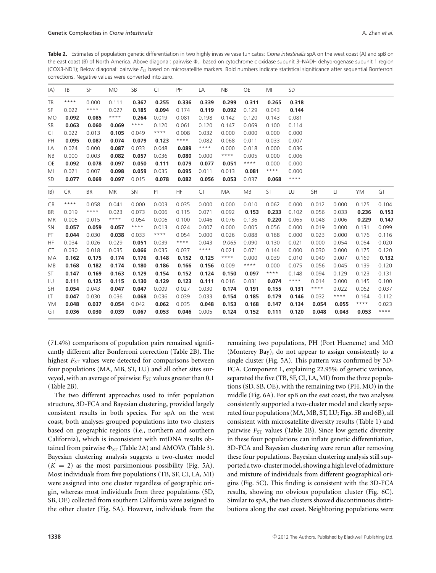**Table 2.** Estimates of population genetic differentiation in two highly invasive vase tunicates: *Ciona intestinalis* spA on the west coast (A) and spB on the east coast (B) of North America. Above diagonal: pairwise  $\Phi_{ST}$  based on cytochrome c oxidase subunit 3–NADH dehydrogenase subunit 1 region (COX3-ND1); Below diagonal: pairwise F<sub>ST</sub> based on microsatellite markers. Bold numbers indicate statistical significance after sequential Bonferroni corrections. Negative values were converted into zero.

| (A)       | TB    | SF    | <b>MO</b>              | <b>SB</b>              | C1                     | PH                     | LA                     | <b>NB</b>              | OE                     | MI                     | SD                     |                        |                        |                        |       |
|-----------|-------|-------|------------------------|------------------------|------------------------|------------------------|------------------------|------------------------|------------------------|------------------------|------------------------|------------------------|------------------------|------------------------|-------|
| TB        | $***$ | 0.000 | 0.111                  | 0.367                  | 0.255                  | 0.336                  | 0.339                  | 0.299                  | 0.311                  | 0.265                  | 0.318                  |                        |                        |                        |       |
| SF        | 0.022 | $***$ | 0.027                  | 0.185                  | 0.094                  | 0.174                  | 0.119                  | 0.092                  | 0.129                  | 0.043                  | 0.144                  |                        |                        |                        |       |
| <b>MO</b> | 0.092 | 0.085 | $\star\star\star\star$ | 0.264                  | 0.019                  | 0.081                  | 0.198                  | 0.142                  | 0.120                  | 0.143                  | 0.081                  |                        |                        |                        |       |
| SB        | 0.063 | 0.060 | 0.069                  | $\star\star\star\star$ | 0.120                  | 0.061                  | 0.120                  | 0.147                  | 0.069                  | 0.100                  | 0.114                  |                        |                        |                        |       |
| CI        | 0.022 | 0.013 | 0.105                  | 0.049                  | $\star\star\star\star$ | 0.008                  | 0.032                  | 0.000                  | 0.000                  | 0.000                  | 0.000                  |                        |                        |                        |       |
| PH        | 0.095 | 0.087 | 0.074                  | 0.079                  | 0.123                  | $***$                  | 0.082                  | 0.068                  | 0.011                  | 0.033                  | 0.007                  |                        |                        |                        |       |
| LA        | 0.024 | 0.000 | 0.087                  | 0.033                  | 0.048                  | 0.089                  | $\star\star\star\star$ | 0.000                  | 0.018                  | 0.000                  | 0.036                  |                        |                        |                        |       |
| <b>NB</b> | 0.000 | 0.003 | 0.082                  | 0.057                  | 0.036                  | 0.080                  | 0.000                  | $\star\star\star\star$ | 0.005                  | 0.000                  | 0.006                  |                        |                        |                        |       |
| OE        | 0.092 | 0.078 | 0.097                  | 0.050                  | 0.111                  | 0.079                  | 0.077                  | 0.051                  | $\star\star\star\star$ | 0.000                  | 0.000                  |                        |                        |                        |       |
| MI        | 0.021 | 0.007 | 0.098                  | 0.059                  | 0.035                  | 0.095                  | 0.011                  | 0.013                  | 0.081                  | $***$                  | 0.000                  |                        |                        |                        |       |
| SD        | 0.077 | 0.069 | 0.097                  | 0.015                  | 0.078                  | 0.082                  | 0.056                  | 0.053                  | 0.037                  | 0.068                  | $***$ *                |                        |                        |                        |       |
| (B)       | CR    | BR    | <b>MR</b>              | SN                     | PT                     | HF                     | CT                     | МA                     | MB                     | ST                     | LU                     | <b>SH</b>              | LT                     | YM                     | GT    |
| <b>CR</b> | $***$ | 0.058 | 0.041                  | 0.000                  | 0.003                  | 0.035                  | 0.000                  | 0.000                  | 0.010                  | 0.062                  | 0.000                  | 0.012                  | 0.000                  | 0.125                  | 0.104 |
| BR        | 0.019 | $***$ | 0.023                  | 0.073                  | 0.006                  | 0.115                  | 0.071                  | 0.092                  | 0.153                  | 0.233                  | 0.102                  | 0.056                  | 0.033                  | 0.236                  | 0.153 |
| MR        | 0.005 | 0.015 | $***$                  | 0.054                  | 0.006                  | 0.100                  | 0.046                  | 0.076                  | 0.136                  | 0.220                  | 0.065                  | 0.048                  | 0.006                  | 0.229                  | 0.147 |
| <b>SN</b> | 0.057 | 0.059 | 0.057                  | $\star\star\star\star$ | 0.013                  | 0.024                  | 0.007                  | 0.000                  | 0.005                  | 0.056                  | 0.000                  | 0.019                  | 0.000                  | 0.131                  | 0.099 |
| PT        | 0.044 | 0.030 | 0.038                  | 0.033                  | $\star\star\star\star$ | 0.054                  | 0.000                  | 0.026                  | 0.088                  | 0.168                  | 0.000                  | 0.023                  | 0.000                  | 0.176                  | 0.116 |
| HF        | 0.034 | 0.026 | 0.029                  | 0.051                  | 0.039                  | $\star\star\star\star$ | 0.043                  | 0.065                  | 0.090                  | 0.130                  | 0.021                  | 0.000                  | 0.054                  | 0.054                  | 0.020 |
| <b>CT</b> | 0.030 | 0.018 | 0.035                  | 0.066                  | 0.035                  | 0.037                  | $\star\star\star\star$ | 0.021                  | 0.071                  | 0.144                  | 0.000                  | 0.030                  | 0.000                  | 0.175                  | 0.120 |
| MA        | 0.162 | 0.175 | 0.174                  | 0.176                  | 0.148                  | 0.152                  | 0.125                  | $\star\star\star\star$ | 0.000                  | 0.039                  | 0.010                  | 0.049                  | 0.007                  | 0.169                  | 0.132 |
| MB        | 0.168 | 0.182 | 0.174                  | 0.180                  | 0.186                  | 0.166                  | 0.156                  | 0.009                  | $***$                  | 0.000                  | 0.075                  | 0.056                  | 0.045                  | 0.139                  | 0.120 |
| ST        | 0.147 | 0.169 | 0.163                  | 0.129                  | 0.154                  | 0.152                  | 0.124                  | 0.150                  | 0.097                  | $\star\star\star\star$ | 0.148                  | 0.094                  | 0.129                  | 0.123                  | 0.131 |
| LU        | 0.111 | 0.125 | 0.115                  | 0.130                  | 0.129                  | 0.123                  | 0.111                  | 0.016                  | 0.031                  | 0.074                  | $\star\star\star\star$ | 0.014                  | 0.000                  | 0.145                  | 0.100 |
| <b>SH</b> | 0.054 | 0.043 | 0.047                  | 0.047                  | 0.009                  | 0.027                  | 0.030                  | 0.174                  | 0.191                  | 0.155                  | 0.131                  | $\star\star\star\star$ | 0.022                  | 0.062                  | 0.037 |
| LT        | 0.047 | 0.030 | 0.036                  | 0.068                  | 0.036                  | 0.039                  | 0.033                  | 0.154                  | 0.185                  | 0.179                  | 0.146                  | 0.032                  | $\star\star\star\star$ | 0.164                  | 0.112 |
| YM        | 0.048 | 0.037 | 0.054                  | 0.042                  | 0.062                  | 0.035                  | 0.048                  | 0.153                  | 0.168                  | 0.147                  | 0.134                  | 0.054                  | 0.055                  | $\star\star\star\star$ | 0.023 |
| GT        | 0.036 | 0.030 | 0.039                  | 0.067                  | 0.053                  | 0.046                  | 0.005                  | 0.124                  | 0.152                  | 0.111                  | 0.120                  | 0.048                  | 0.043                  | 0.053                  | ****  |

(71.4%) comparisons of population pairs remained significantly different after Bonferroni correction (Table 2B). The highest *F<sub>ST</sub>* values were detected for comparisons between four populations (MA, MB, ST, LU) and all other sites surveyed, with an average of pairwise  $F_{ST}$  values greater than 0.1 (Table 2B).

The two different approaches used to infer population structure, 3D-FCA and Bayesian clustering, provided largely consistent results in both species. For spA on the west coast, both analyses grouped populations into two clusters based on geographic regions (i.e., northern and southern California), which is inconsistent with mtDNA results obtained from pairwise  $\Phi_{ST}$  (Table 2A) and AMOVA (Table 3). Bayesian clustering analysis suggests a two-cluster model  $(K = 2)$  as the most parsimonious possibility (Fig. 5A). Most individuals from five populations (TB, SF, CI, LA, MI) were assigned into one cluster regardless of geographic origin, whereas most individuals from three populations (SD, SB, OE) collected from southern California were assigned to the other cluster (Fig. 5A). However, individuals from the remaining two populations, PH (Port Hueneme) and MO (Monterey Bay), do not appear to assign consistently to a single cluster (Fig. 5A). This pattern was confirmed by 3D-FCA. Component 1, explaining 22.95% of genetic variance, separated the five (TB, SF, CI, LA, MI) from the three populations (SD, SB, OE), with the remaining two (PH, MO) in the middle (Fig. 6A). For spB on the east coast, the two analyses consistently supported a two-cluster model and clearly separated four populations (MA, MB, ST, LU; Figs. 5B and 6B), all consistent with microsatellite diversity results (Table 1) and pairwise  $F_{ST}$  values (Table 2B). Since low genetic diversity in these four populations can inflate genetic differentiation, 3D-FCA and Bayesian clustering were rerun after removing these four populations. Bayesian clustering analysis still supported a two-cluster model, showing a high level of admixture and mixture of individuals from different geographical origins (Fig. 5C). This finding is consistent with the 3D-FCA results, showing no obvious population cluster (Fig. 6C). Similar to spA, the two clusters showed discontinuous distributions along the east coast. Neighboring populations were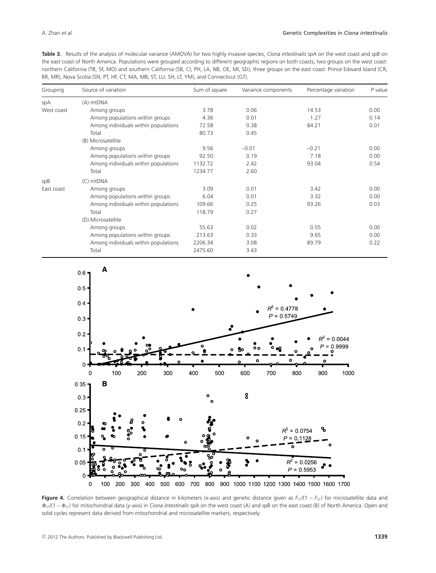Table 3. Results of the analysis of molecular variance (AMOVA) for two highly invasive species, *Ciona intestinalis* spA on the west coast and spB on the east coast of North America. Populations were grouped according to different geographic regions on both coasts, two groups on the west coast: northern California (TB, SF, MO) and southern California (SB, CI, PH, LA, NB, OE, MI, SD); three groups on the east coast: Prince Edward Island (CR, BR, MR), Nova Scotia (SN, PT, HF, CT, MA, MB, ST, LU, SH, LT, YM), and Connecticut (GT).

| Grouping   | Source of variation                  | Sum of square | Variance components | Percentage variation | $P$ value |
|------------|--------------------------------------|---------------|---------------------|----------------------|-----------|
| spA        | (A) mtDNA                            |               |                     |                      |           |
| West coast | Among groups                         | 3.78          | 0.06                | 14.53                | 0.00      |
|            | Among populations within groups      | 4.36          | 0.01                | 1.27                 | 0.14      |
|            | Among individuals within populations | 72.58         | 0.38                | 84.21                | 0.01      |
|            | Total                                | 80.73         | 0.45                |                      |           |
|            | (B) Microsatellite                   |               |                     |                      |           |
|            | Among groups                         | 9.56          | $-0.01$             | $-0.21$              | 0.00      |
|            | Among populations within groups      | 92.50         | 0.19                | 7.18                 | 0.00      |
|            | Among individuals within populations | 1132.72       | 2.42                | 93.04                | 0.54      |
|            | Total                                | 1234.77       | 2.60                |                      |           |
| spB        | (C) mtDNA                            |               |                     |                      |           |
| East coast | Among groups                         | 3.09          | 0.01                | 3.42                 | 0.00      |
|            | Among populations within groups      | 6.04          | 0.01                | 3.32                 | 0.00      |
|            | Among individuals within populations | 109.66        | 0.25                | 93.26                | 0.03      |
|            | Total                                | 118.79        | 0.27                |                      |           |
|            | (D) Microsatellite                   |               |                     |                      |           |
|            | Among groups                         | 55.63         | 0.02                | 0.55                 | 0.00      |
|            | Among populations within groups      | 213.63        | 0.33                | 9.65                 | 0.00      |
|            | Among individuals within populations | 2206.34       | 3.08                | 89.79                | 0.22      |
|            | Total                                | 2475.60       | 3.43                |                      |           |



**Figure 4.** Correlation between geographical distance in kilometers (*x*-axis) and genetic distance given as  $F_{ST}/(1 - F_{ST})$  for microsatellite data and  $\Phi_{ST}/(1 - \Phi_{ST})$  for mitochondrial data (*y*-axis) in *Ciona intestinalis* spA on the west coast (A) and spB on the east coast (B) of North America. Open and solid cycles represent data derived from mitochondrial and microsatellite markers, respectively.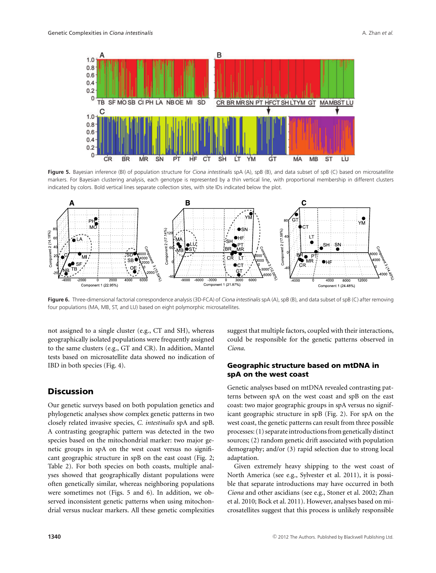

**Figure 5.** Bayesian inference (BI) of population structure for *Ciona intestinalis* spA (A), spB (B), and data subset of spB (C) based on microsatellite markers. For Bayesian clustering analysis, each genotype is represented by a thin vertical line, with proportional membership in different clusters indicated by colors. Bold vertical lines separate collection sites, with site IDs indicated below the plot.



**Figure 6.** Three-dimensional factorial correspondence analysis (3D-FCA) of *Ciona intestinalis* spA (A), spB (B), and data subset of spB (C) after removing four populations (MA, MB, ST, and LU) based on eight polymorphic microsatellites.

not assigned to a single cluster (e.g., CT and SH), whereas geographically isolated populations were frequently assigned to the same clusters (e.g., GT and CR). In addition, Mantel tests based on microsatellite data showed no indication of IBD in both species (Fig. 4).

## **Discussion**

Our genetic surveys based on both population genetics and phylogenetic analyses show complex genetic patterns in two closely related invasive species, *C. intestinalis* spA and spB. A contrasting geographic pattern was detected in the two species based on the mitochondrial marker: two major genetic groups in spA on the west coast versus no significant geographic structure in spB on the east coast (Fig. 2; Table 2). For both species on both coasts, multiple analyses showed that geographically distant populations were often genetically similar, whereas neighboring populations were sometimes not (Figs. 5 and 6). In addition, we observed inconsistent genetic patterns when using mitochondrial versus nuclear markers. All these genetic complexities

*Ciona*. **Geographic structure based on mtDNA in spA on the west coast**

suggest that multiple factors, coupled with their interactions, could be responsible for the genetic patterns observed in

Genetic analyses based on mtDNA revealed contrasting patterns between spA on the west coast and spB on the east coast: two major geographic groups in spA versus no significant geographic structure in spB (Fig. 2). For spA on the west coast, the genetic patterns can result from three possible  $processes: (1) separate introductions from genetically distinct$ sources; (2) random genetic drift associated with population demography; and/or (3) rapid selection due to strong local adaptation.

Given extremely heavy shipping to the west coast of North America (see e.g., Sylvester et al. 2011), it is possible that separate introductions may have occurred in both *Ciona* and other ascidians (see e.g., Stoner et al. 2002; Zhan et al. 2010; Bock et al. 2011). However, analyses based on microsatellites suggest that this process is unlikely responsible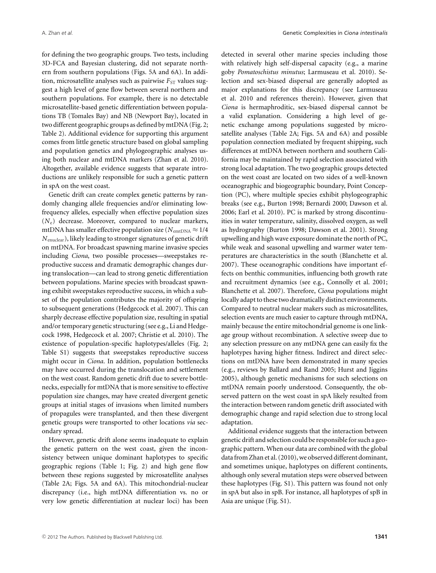for defining the two geographic groups. Two tests, including 3D-FCA and Bayesian clustering, did not separate northern from southern populations (Figs. 5A and 6A). In addition, microsatellite analyses such as pairwise  $F_{ST}$  values suggest a high level of gene flow between several northern and southern populations. For example, there is no detectable microsatellite-based genetic differentiation between populations TB (Tomales Bay) and NB (Newport Bay), located in two different geographic groups as defined by mtDNA (Fig. 2; Table 2). Additional evidence for supporting this argument comes from little genetic structure based on global sampling and population genetics and phylogeographic analyses using both nuclear and mtDNA markers (Zhan et al. 2010). Altogether, available evidence suggests that separate introductions are unlikely responsible for such a genetic pattern in spA on the west coast.

Genetic drift can create complex genetic patterns by randomly changing allele frequencies and/or eliminating lowfrequency alleles, especially when effective population sizes  $(N_e)$  decrease. Moreover, compared to nuclear markers, mtDNA has smaller effective population size ( $N_{\text{embNA}} \approx 1/4$ *N*enuclear), likely leading to stronger signatures of genetic drift on mtDNA. For broadcast spawning marine invasive species including *Ciona*, two possible processes—sweepstakes reproductive success and dramatic demographic changes during translocation—can lead to strong genetic differentiation between populations. Marine species with broadcast spawning exhibit sweepstakes reproductive success, in which a subset of the population contributes the majority of offspring to subsequent generations (Hedgecock et al. 2007). This can sharply decrease effective population size, resulting in spatial and/or temporary genetic structuring (see e.g., Li and Hedgecock 1998, Hedgecock et al. 2007; Christie et al. 2010). The existence of population-specific haplotypes/alleles (Fig. 2; Table S1) suggests that sweepstakes reproductive success might occur in *Ciona*. In addition, population bottlenecks may have occurred during the translocation and settlement on the west coast. Random genetic drift due to severe bottlenecks, especially for mtDNA that is more sensitive to effective population size changes, may have created divergent genetic groups at initial stages of invasions when limited numbers of propagules were transplanted, and then these divergent genetic groups were transported to other locations *via* secondary spread.

However, genetic drift alone seems inadequate to explain the genetic pattern on the west coast, given the inconsistency between unique dominant haplotypes to specific geographic regions (Table 1; Fig. 2) and high gene flow between these regions suggested by microsatellite analyses (Table 2A; Figs. 5A and 6A). This mitochondrial-nuclear discrepancy (i.e., high mtDNA differentiation vs. no or very low genetic differentiation at nuclear loci) has been detected in several other marine species including those with relatively high self-dispersal capacity (e.g., a marine goby *Pomatoschistus minutus*; Larmuseau et al. 2010). Selection and sex-biased dispersal are generally adopted as major explanations for this discrepancy (see Larmuseau et al. 2010 and references therein). However, given that *Ciona* is hermaphroditic, sex-biased dispersal cannot be a valid explanation. Considering a high level of genetic exchange among populations suggested by microsatellite analyses (Table 2A; Figs. 5A and 6A) and possible population connection mediated by frequent shipping, such differences at mtDNA between northern and southern California may be maintained by rapid selection associated with strong local adaptation. The two geographic groups detected on the west coast are located on two sides of a well-known oceanographic and biogeographic boundary, Point Conception (PC), where multiple species exhibit phylogeographic breaks (see e.g., Burton 1998; Bernardi 2000; Dawson et al. 2006; Earl et al. 2010). PC is marked by strong discontinuities in water temperature, salinity, dissolved oxygen, as well as hydrography (Burton 1998; Dawson et al. 2001). Strong upwelling and high wave exposure dominate the north of PC, while weak and seasonal upwelling and warmer water temperatures are characteristics in the south (Blanchette et al. 2007). These oceanographic conditions have important effects on benthic communities, influencing both growth rate and recruitment dynamics (see e.g., Connolly et al. 2001; Blanchette et al. 2007). Therefore, *Ciona* populations might locally adapt to these two dramatically distinct environments. Compared to neutral nuclear makers such as microsatellites, selection events are much easier to capture through mtDNA, mainly because the entire mitochondrial genome is one linkage group without recombination. A selective sweep due to any selection pressure on any mtDNA gene can easily fix the haplotypes having higher fitness. Indirect and direct selections on mtDNA have been demonstrated in many species (e.g., reviews by Ballard and Rand 2005; Hurst and Jiggins 2005), although genetic mechanisms for such selections on mtDNA remain poorly understood. Consequently, the observed pattern on the west coast in spA likely resulted from the interaction between random genetic drift associated with demographic change and rapid selection due to strong local adaptation.

Additional evidence suggests that the interaction between genetic drift and selection could be responsible for such a geographic pattern. When our data are combined with the global data from Zhan et al. (2010), we observed different dominant, and sometimes unique, haplotypes on different continents, although only several mutation steps were observed between these haplotypes (Fig. S1). This pattern was found not only in spA but also in spB. For instance, all haplotypes of spB in Asia are unique (Fig. S1).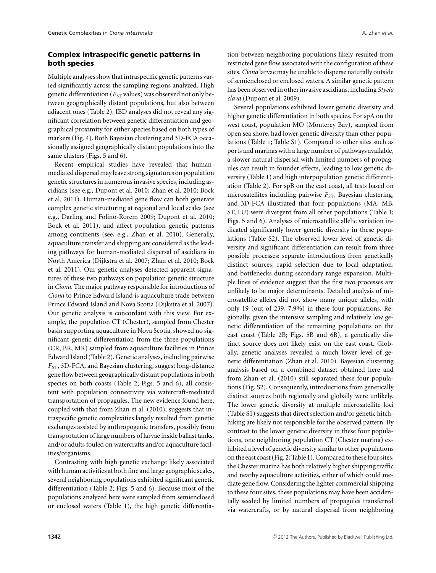## **Complex intraspecific genetic patterns in both species**

Multiple analyses show that intraspecific genetic patterns varied significantly across the sampling regions analyzed. High genetic differentiation ( $F_{ST}$  values) was observed not only between geographically distant populations, but also between adjacent ones (Table 2). IBD analyses did not reveal any significant correlation between genetic differentiation and geographical proximity for either species based on both types of markers (Fig. 4). Both Bayesian clustering and 3D-FCA occasionally assigned geographically distant populations into the same clusters (Figs. 5 and 6).

Recent empirical studies have revealed that humanmediated dispersal may leave strong signatures on population genetic structures in numerous invasive species, including ascidians (see e.g., Dupont et al. 2010; Zhan et al. 2010; Bock et al. 2011). Human-mediated gene flow can both generate complex genetic structuring at regional and local scales (see e.g., Darling and Folino-Rorem 2009; Dupont et al. 2010; Bock et al. 2011), and affect population genetic patterns among continents (see, e.g., Zhan et al. 2010). Generally, aquaculture transfer and shipping are considered as the leading pathways for human-mediated dispersal of ascidians in North America (Dijkstra et al. 2007; Zhan et al. 2010; Bock et al. 2011). Our genetic analyses detected apparent signatures of these two pathways on population genetic structure in *Ciona*. The major pathway responsible for introductions of *Ciona* to Prince Edward Island is aquaculture trade between Prince Edward Island and Nova Scotia (Dijkstra et al. 2007). Our genetic analysis is concordant with this view. For example, the population CT (Chester), sampled from Chester basin supporting aquaculture in Nova Scotia, showed no significant genetic differentiation from the three populations (CR, BR, MR) sampled from aquaculture facilities in Prince Edward Island (Table 2). Genetic analyses, including pairwise  $F_{ST}$ , 3D-FCA, and Bayesian clustering, suggest long-distance gene flow between geographically distant populations in both species on both coasts (Table 2; Figs. 5 and 6), all consistent with population connectivity via watercraft-mediated transportation of propagules. The new evidence found here, coupled with that from Zhan et al. (2010), suggests that intraspecific genetic complexities largely resulted from genetic exchanges assisted by anthropogenic transfers, possibly from transportation of large numbers of larvae inside ballast tanks, and/or adults fouled on watercrafts and/or aquaculture facilities/organisms.

Contrasting with high genetic exchange likely associated with human activities at both fine and large geographic scales, several neighboring populations exhibited significant genetic differentiation (Table 2; Figs. 5 and 6). Because most of the populations analyzed here were sampled from semienclosed or enclosed waters (Table 1), the high genetic differentiation between neighboring populations likely resulted from restricted gene flow associated with the configuration of these sites.*Ciona* larvae may be unable to disperse naturally outside of semienclosed or enclosed waters. A similar genetic pattern has been observed in other invasive ascidians, including *Styela clava* (Dupont et al. 2009).

Several populations exhibited lower genetic diversity and higher genetic differentiation in both species. For spA on the west coast, population MO (Monterey Bay), sampled from open sea shore, had lower genetic diversity than other populations (Table 1; Table S1). Compared to other sites such as ports and marinas with a large number of pathways available, a slower natural dispersal with limited numbers of propagules can result in founder effects, leading to low genetic diversity (Table 1) and high interpopulation genetic differentiation (Table 2). For spB on the east coast, all tests based on microsatellites including pairwise *F<sub>ST</sub>*, Bayesian clustering, and 3D-FCA illustrated that four populations (MA, MB, ST, LU) were divergent from all other populations (Table 1; Figs. 5 and 6). Analyses of microsatellite allelic variation indicated significantly lower genetic diversity in these populations (Table S2). The observed lower level of genetic diversity and significant differentiation can result from three possible processes: separate introductions from genetically distinct sources, rapid selection due to local adaptation, and bottlenecks during secondary range expansion. Multiple lines of evidence suggest that the first two processes are unlikely to be major determinants. Detailed analysis of microsatellite alleles did not show many unique alleles, with only 19 (out of 239, 7.9%) in these four populations. Regionally, given the intensive sampling and relatively low genetic differentiation of the remaining populations on the east coast (Table 2B; Figs. 5B and 6B), a genetically distinct source does not likely exist on the east coast. Globally, genetic analyses revealed a much lower level of genetic differentiation (Zhan et al. 2010). Bayesian clustering analysis based on a combined dataset obtained here and from Zhan et al. (2010) still separated these four populations (Fig. S2). Consequently, introductions from genetically distinct sources both regionally and globally were unlikely. The lower genetic diversity at multiple microsatellite loci (Table S1) suggests that direct selection and/or genetic hitchhiking are likely not responsible for the observed pattern. By contrast to the lower genetic diversity in these four populations, one neighboring population CT (Chester marina) exhibited a level of genetic diversity similar to other populations on the east coast (Fig. 2; Table 1). Compared to these four sites, the Chester marina has both relatively higher shipping traffic and nearby aquaculture activities, either of which could mediate gene flow. Considering the lighter commercial shipping to these four sites, these populations may have been accidentally seeded by limited numbers of propagules transferred via watercrafts, or by natural dispersal from neighboring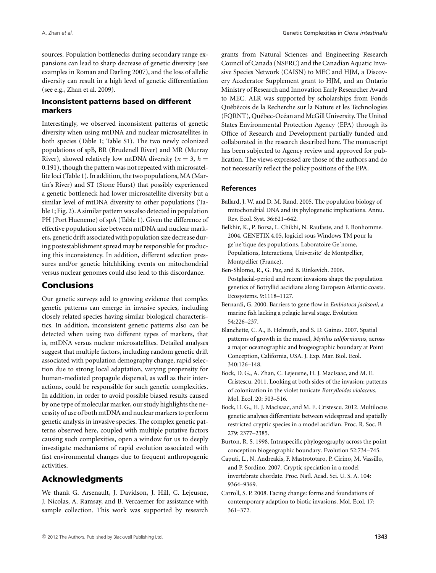sources. Population bottlenecks during secondary range expansions can lead to sharp decrease of genetic diversity (see examples in Roman and Darling 2007), and the loss of allelic diversity can result in a high level of genetic differentiation (see e.g., Zhan et al. 2009).

### **Inconsistent patterns based on different markers**

Interestingly, we observed inconsistent patterns of genetic diversity when using mtDNA and nuclear microsatellites in both species (Table 1; Table S1). The two newly colonized populations of spB, BR (Brudenell River) and MR (Murray River), showed relatively low mtDNA diversity ( $n = 3$ ,  $h =$ 0.191), though the pattern was not repeated with microsatellite loci (Table 1). In addition, the two populations, MA (Martin's River) and ST (Stone Hurst) that possibly experienced a genetic bottleneck had lower microsatellite diversity but a similar level of mtDNA diversity to other populations (Table 1; Fig. 2). A similar pattern was also detected in population PH (Port Hueneme) of spA (Table 1). Given the difference of effective population size between mtDNA and nuclear markers, genetic drift associated with population size decrease during postestablishment spread may be responsible for producing this inconsistency. In addition, different selection pressures and/or genetic hitchhiking events on mitochondrial versus nuclear genomes could also lead to this discordance.

## **Conclusions**

Our genetic surveys add to growing evidence that complex genetic patterns can emerge in invasive species, including closely related species having similar biological characteristics. In addition, inconsistent genetic patterns also can be detected when using two different types of markers, that is, mtDNA versus nuclear microsatellites. Detailed analyses suggest that multiple factors, including random genetic drift associated with population demography change, rapid selection due to strong local adaptation, varying propensity for human-mediated propagule dispersal, as well as their interactions, could be responsible for such genetic complexities. In addition, in order to avoid possible biased results caused by one type of molecular marker, our study highlights the necessity of use of both mtDNA and nuclear markers to perform genetic analysis in invasive species. The complex genetic patterns observed here, coupled with multiple putative factors causing such complexities, open a window for us to deeply investigate mechanisms of rapid evolution associated with fast environmental changes due to frequent anthropogenic activities.

## **Acknowledgments**

We thank G. Arsenault, J. Davidson, J. Hill, C. Lejeusne, J. Nicolas, A. Ramsay, and B. Vercaemer for assistance with sample collection. This work was supported by research grants from Natural Sciences and Engineering Research Council of Canada (NSERC) and the Canadian Aquatic Invasive Species Network (CAISN) to MEC and HJM, a Discovery Accelerator Supplement grant to HJM, and an Ontario Ministry of Research and Innovation Early Researcher Award to MEC. ALR was supported by scholarships from Fonds Québécois de la Recherche sur la Nature et les Technologies (FORNT), Québec-Océan and McGill University. The United States Environmental Protection Agency (EPA) through its Office of Research and Development partially funded and collaborated in the research described here. The manuscript has been subjected to Agency review and approved for publication. The views expressed are those of the authors and do not necessarily reflect the policy positions of the EPA.

## **References**

- Ballard, J. W. and D. M. Rand. 2005. The population biology of mitochondrial DNA and its phylogenetic implications. Annu. Rev. Ecol. Syst. 36:621–642.
- Belkhir, K., P. Borsa, L. Chikhi, N. Raufaste, and F. Bonhomme. 2004. GENETIX 4.05, logiciel sous Windows TM pour la ge´ne´tique des populations. Laboratoire Ge´nome, Populations, Interactions, Universite´ de Montpellier, Montpellier (France).
- Ben-Shlomo, R., G. Paz, and B. Rinkevich. 2006. Postglacial-period and recent invasions shape the population genetics of Botryllid ascidians along European Atlantic coasts. Ecosystems. 9:1118–1127.
- Bernardi, G. 2000. Barriers to gene flow in *Embiotoca jacksoni*, a marine fish lacking a pelagic larval stage. Evolution 54:226–237.
- Blanchette, C. A., B. Helmuth, and S. D. Gaines. 2007. Spatial patterns of growth in the mussel, *Mytilus californianus*, across a major oceanographic and biogeographic boundary at Point Conception, California, USA. J. Exp. Mar. Biol. Ecol. 340:126–148.
- Bock, D. G., A. Zhan, C. Lejeusne, H. J. MacIsaac, and M. E. Cristescu. 2011. Looking at both sides of the invasion: patterns of colonization in the violet tunicate *Botrylloides violaceus*. Mol. Ecol. 20: 503–516.
- Bock, D. G., H. J. MacIsaac, and M. E. Cristescu. 2012. Multilocus genetic analyses differentiate between widespread and spatially restricted cryptic species in a model ascidian. Proc. R. Soc. B 279: 2377–2385.
- Burton, R. S. 1998. Intraspecific phylogeography across the point conception biogeographic boundary. Evolution 52:734–745.
- Caputi, L., N. Andreakis, F. Mastrototaro, P. Cirino, M. Vassillo, and P. Sordino. 2007. Cryptic speciation in a model invertebrate chordate. Proc. Natl. Acad. Sci. U. S. A. 104: 9364–9369.
- Carroll, S. P. 2008. Facing change: forms and foundations of contemporary adaption to biotic invasions. Mol. Ecol. 17: 361–372.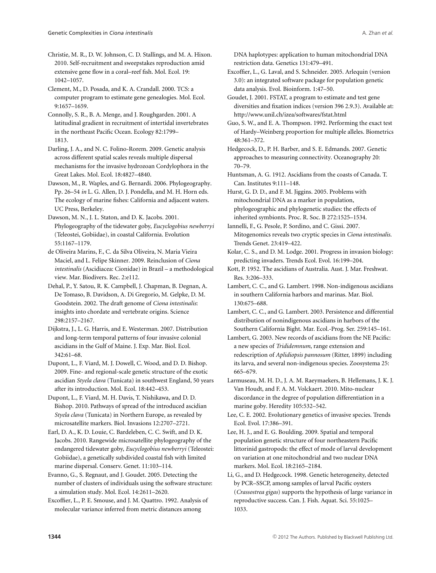Christie, M. R., D. W. Johnson, C. D. Stallings, and M. A. Hixon. 2010. Self-recruitment and sweepstakes reproduction amid extensive gene flow in a coral–reef fish. Mol. Ecol. 19: 1042–1057.

Clement, M., D. Posada, and K. A. Crandall. 2000. TCS: a computer program to estimate gene genealogies. Mol. Ecol. 9:1657–1659.

Connolly, S. R., B. A. Menge, and J. Roughgarden. 2001. A latitudinal gradient in recruitment of intertidal invertebrates in the northeast Pacific Ocean. Ecology 82:1799– 1813.

Darling, J. A., and N. C. Folino-Rorem. 2009. Genetic analysis across different spatial scales reveals multiple dispersal mechanisms for the invasive hydrozoan Cordylophora in the Great Lakes. Mol. Ecol. 18:4827–4840.

Dawson, M., R. Waples, and G. Bernardi. 2006. Phylogeography. Pp. 26–54 *in* L. G. Allen, D. J. Pondella, and M. H. Horn eds. The ecology of marine fishes: California and adjacent waters. UC Press, Berkeley.

Dawson, M. N., J. L. Staton, and D. K. Jacobs. 2001. Phylogeography of the tidewater goby, *Eucyclogobius newberryi* (Teleostei, Gobiidae), in coastal California. Evolution 55:1167–1179.

de Oliveira Marins, F., C. da Silva Oliveira, N. Maria Vieira Maciel, and L. Felipe Skinner. 2009. Reinclusion of *Ciona intestinalis* (Ascidiacea: Cionidae) in Brazil – a methodological view. Mar. Biodivers. Rec. 2:e112.

Dehal, P., Y. Satou, R. K. Campbell, J. Chapman, B. Degnan, A. De Tomaso, B. Davidson, A. Di Gregorio, M. Gelpke, D. M. Goodstein. 2002. The draft genome of *Ciona intestinalis*: insights into chordate and vertebrate origins. Science 298:2157–2167.

Dijkstra, J., L. G. Harris, and E. Westerman. 2007. Distribution and long-term temporal patterns of four invasive colonial ascidians in the Gulf of Maine. J. Exp. Mar. Biol. Ecol. 342:61–68.

Dupont, L., F. Viard, M. J. Dowell, C. Wood, and D. D. Bishop. 2009. Fine- and regional-scale genetic structure of the exotic ascidian *Styela clava* (Tunicata) in southwest England, 50 years after its introduction. Mol. Ecol. 18:442–453.

Dupont, L., F. Viard, M. H. Davis, T. Nishikawa, and D. D. Bishop. 2010. Pathways of spread of the introduced ascidian *Styela clava* (Tunicata) in Northern Europe, as revealed by microsatellite markers. Biol. Invasions 12:2707–2721.

Earl, D. A., K. D. Louie, C. Bardeleben, C. C. Swift, and D. K. Jacobs. 2010. Rangewide microsatellite phylogeography of the endangered tidewater goby, *Eucyclogobius newberryi* (Teleostei: Gobiidae), a genetically subdivided coastal fish with limited marine dispersal. Conserv. Genet. 11:103–114.

Evanno, G., S. Regnaut, and J. Goudet. 2005. Detecting the number of clusters of individuals using the software structure: a simulation study. Mol. Ecol. 14:2611–2620.

Excoffier, L., P. E. Smouse, and J. M. Quattro. 1992. Analysis of molecular variance inferred from metric distances among

DNA haplotypes: application to human mitochondrial DNA restriction data. Genetics 131:479–491.

Excoffier, L., G. Laval, and S. Schneider. 2005. Arlequin (version 3.0): an integrated software package for population genetic data analysis. Evol. Bioinform. 1:47–50.

Goudet, J. 2001. FSTAT, a program to estimate and test gene diversities and fixation indices (version 396 2.9.3). Available at: http://www.unil.ch/izea/softwares/fstat.html

Guo, S. W., and E. A. Thompson. 1992. Performing the exact test of Hardy–Weinberg proportion for multiple alleles. Biometrics 48:361–372.

Hedgecock, D., P. H. Barber, and S. E. Edmands. 2007. Genetic approaches to measuring connectivity. Oceanography 20: 70–79.

Huntsman, A. G. 1912. Ascidians from the coasts of Canada. T. Can. Institutes 9:111–148.

Hurst, G. D. D., and F. M. Jiggins. 2005. Problems with mitochondrial DNA as a marker in population, phylogeographic and phylogenetic studies: the effects of inherited symbionts. Proc. R. Soc. B 272:1525–1534.

Iannelli, F., G. Pesole, P. Sordino, and C. Gissi. 2007. Mitogenomics reveals two cryptic species in *Ciona intestinalis*. Trends Genet. 23:419–422.

Kolar, C. S., and D. M. Lodge. 2001. Progress in invasion biology: predicting invaders. Trends Ecol. Evol. 16:199–204.

Kott, P. 1952. The ascidians of Australia. Aust. J. Mar. Freshwat. Res. 3:206–333.

Lambert, C. C., and G. Lambert. 1998. Non-indigenous ascidians in southern California harbors and marinas. Mar. Biol. 130:675–688.

Lambert, C. C., and G. Lambert. 2003. Persistence and differential distribution of nonindigenous ascidians in harbors of the Southern California Bight. Mar. Ecol.-Prog. Ser. 259:145–161.

Lambert, G. 2003. New records of ascidians from the NE Pacific: a new species of *Trididemnum*, range extension and redescription of *Aplidiopsis pannosum* (Ritter, 1899) including its larva, and several non-indigenous species. Zoosystema 25: 665–679.

Larmuseau, M. H. D., J. A. M. Raeymaekers, B. Hellemans, J. K. J. Van Houdt, and F. A. M. Volckaert. 2010. Mito-nuclear discordance in the degree of population differentiation in a marine goby. Heredity 105:532–542.

Lee, C. E. 2002. Evolutionary genetics of invasive species. Trends Ecol. Evol. 17:386–391.

Lee, H. J., and E. G. Boulding. 2009. Spatial and temporal population genetic structure of four northeastern Pacific littorinid gastropods: the effect of mode of larval development on variation at one mitochondrial and two nuclear DNA markers. Mol. Ecol. 18:2165–2184.

Li, G., and D. Hedgecock. 1998. Genetic heterogeneity, detected by PCR–SSCP, among samples of larval Pacific oysters (*Crassostrea gigas*) supports the hypothesis of large variance in reproductive success. Can. J. Fish. Aquat. Sci. 55:1025– 1033.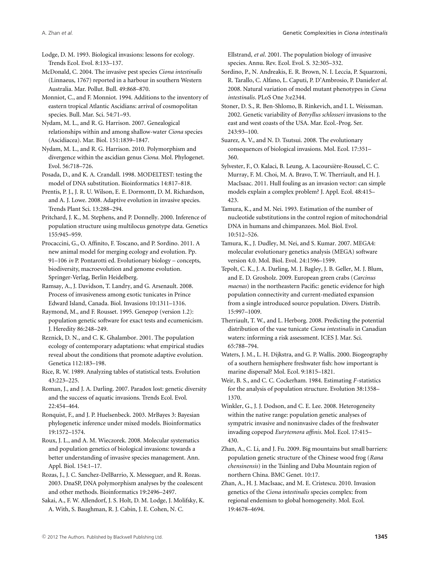Lodge, D. M. 1993. Biological invasions: lessons for ecology. Trends Ecol. Evol. 8:133–137.

McDonald, C. 2004. The invasive pest species *Ciona intestinalis* (Linnaeus, 1767) reported in a harbour in southern Western Australia. Mar. Pollut. Bull. 49:868–870.

Monniot, C., and F. Monniot. 1994. Additions to the inventory of eastern tropical Atlantic Ascidians: arrival of cosmopolitan species. Bull. Mar. Sci. 54:71–93.

Nydam, M. L., and R. G. Harrison. 2007. Genealogical relationships within and among shallow-water *Ciona* species (Ascidiacea). Mar. Biol. 151:1839–1847.

Nydam, M. L., and R. G. Harrison. 2010. Polymorphism and divergence within the ascidian genus *Ciona*. Mol. Phylogenet. Evol. 56:718–726.

Posada, D., and K. A. Crandall. 1998. MODELTEST: testing the model of DNA substitution. Bioinformatics 14:817–818.

Prentis, P. J., J. R. U. Wilson, E. E. Dormontt, D. M. Richardson, and A. J. Lowe. 2008. Adaptive evolution in invasive species. Trends Plant Sci. 13:288–294.

Pritchard, J. K., M. Stephens, and P. Donnelly. 2000. Inference of population structure using multilocus genotype data. Genetics 155:945–959.

Procaccini, G., O. Affinito, F. Toscano, and P. Sordino. 2011. A new animal model for merging ecology and evolution. Pp. 91–106 *in* P. Pontarotti ed. Evolutionary biology – concepts, biodiversity, macroevolution and genome evolution. Springer-Verlag, Berlin Heidelberg.

Ramsay, A., J. Davidson, T. Landry, and G. Arsenault. 2008. Process of invasiveness among exotic tunicates in Prince Edward Island, Canada. Biol. Invasions 10:1311–1316.

Raymond, M., and F. Rousset. 1995. Genepop (version 1.2): population genetic software for exact tests and ecumenicism. J. Heredity 86:248–249.

Reznick, D. N., and C. K. Ghalambor. 2001. The population ecology of contemporary adaptations: what empirical studies reveal about the conditions that promote adaptive evolution. Genetica 112:183–198.

Rice, R. W. 1989. Analyzing tables of statistical tests. Evolution 43:223–225.

Roman, J., and J. A. Darling. 2007. Paradox lost: genetic diversity and the success of aquatic invasions. Trends Ecol. Evol. 22:454–464.

Ronquist, F., and J. P. Huelsenbeck. 2003. MrBayes 3: Bayesian phylogenetic inference under mixed models. Bioinformatics 19:1572–1574.

Roux, J. L., and A. M. Wieczorek. 2008. Molecular systematics and population genetics of biological invasions: towards a better understanding of invasive species management. Ann. Appl. Biol. 154:1–17.

Rozas, J., J. C. Sanchez-DelBarrio, X. Messeguer, and R. Rozas. 2003. DnaSP, DNA polymorphism analyses by the coalescent and other methods. Bioinformatics 19:2496–2497.

Sakai, A., F. W. Allendorf, J. S. Holt, D. M. Lodge, J. Molifsky, K. A. With, S. Baughman, R. J. Cabin, J. E. Cohen, N. C.

Ellstrand, *et al*. 2001. The population biology of invasive species. Annu. Rev. Ecol. Evol. S. 32:305–332.

Sordino, P., N. Andreakis, E. R. Brown, N. I. Leccia, P. Squarzoni, R. Tarallo, C. Alfano, L. Caputi, P. D'Ambrosio, P. Daniele*et al*. 2008. Natural variation of model mutant phenotypes in *Ciona intestinalis*. PLoS One 3:e2344.

Stoner, D. S., R. Ben-Shlomo, B. Rinkevich, and I. L. Weissman. 2002. Genetic variability of *Botryllus schlosseri* invasions to the east and west coasts of the USA. Mar. Ecol.-Prog. Ser. 243:93–100.

Suarez, A. V., and N. D. Tsutsui. 2008. The evolutionary consequences of biological invasions. Mol. Ecol. 17:351– 360.

Sylvester, F., O. Kalaci, B. Leung, A. Lacoursière-Roussel, C. C. Murray, F. M. Choi, M. A. Bravo, T. W. Therriault, and H. J. MacIsaac. 2011. Hull fouling as an invasion vector: can simple models explain a complex problem? J. Appl. Ecol. 48:415– 423.

Tamura, K., and M. Nei. 1993. Estimation of the number of nucleotide substitutions in the control region of mitochondrial DNA in humans and chimpanzees. Mol. Biol. Evol. 10:512–526.

Tamura, K., J. Dudley, M. Nei, and S. Kumar. 2007. MEGA4: molecular evolutionary genetics analysis (MEGA) software version 4.0. Mol. Biol. Evol. 24:1596–1599.

Tepolt, C. K., J. A. Darling, M. J. Bagley, J. B. Geller, M. J. Blum, and E. D. Grosholz. 2009. European green crabs (*Carcinus maenas*) in the northeastern Pacific: genetic evidence for high population connectivity and current-mediated expansion from a single introduced source population. Divers. Distrib. 15:997–1009.

Therriault, T. W., and L. Herborg. 2008. Predicting the potential distribution of the vase tunicate *Ciona intestinalis* in Canadian waters: informing a risk assessment. ICES J. Mar. Sci. 65:788–794.

Waters, J. M., L. H. Dijkstra, and G. P. Wallis. 2000. Biogeography of a southern hemisphere freshwater fish: how important is marine dispersal? Mol. Ecol. 9:1815–1821.

Weir, B. S., and C. C. Cockerham. 1984. Estimating *F*-statistics for the analysis of population structure. Evolution 38:1358– 1370.

Winkler, G., J. J. Dodson, and C. E. Lee. 2008. Heterogeneity within the native range: population genetic analyses of sympatric invasive and noninvasive clades of the freshwater invading copepod *Eurytemora affinis*. Mol. Ecol. 17:415– 430.

Zhan, A., C. Li, and J. Fu. 2009. Big mountains but small barriers: population genetic structure of the Chinese wood frog (*Rana chensinensis*) in the Tsinling and Daba Mountain region of northern China. BMC Genet. 10:17.

Zhan, A., H. J. MacIsaac, and M. E. Cristescu. 2010. Invasion genetics of the *Ciona intestinalis* species complex: from regional endemism to global homogeneity. Mol. Ecol. 19:4678–4694.